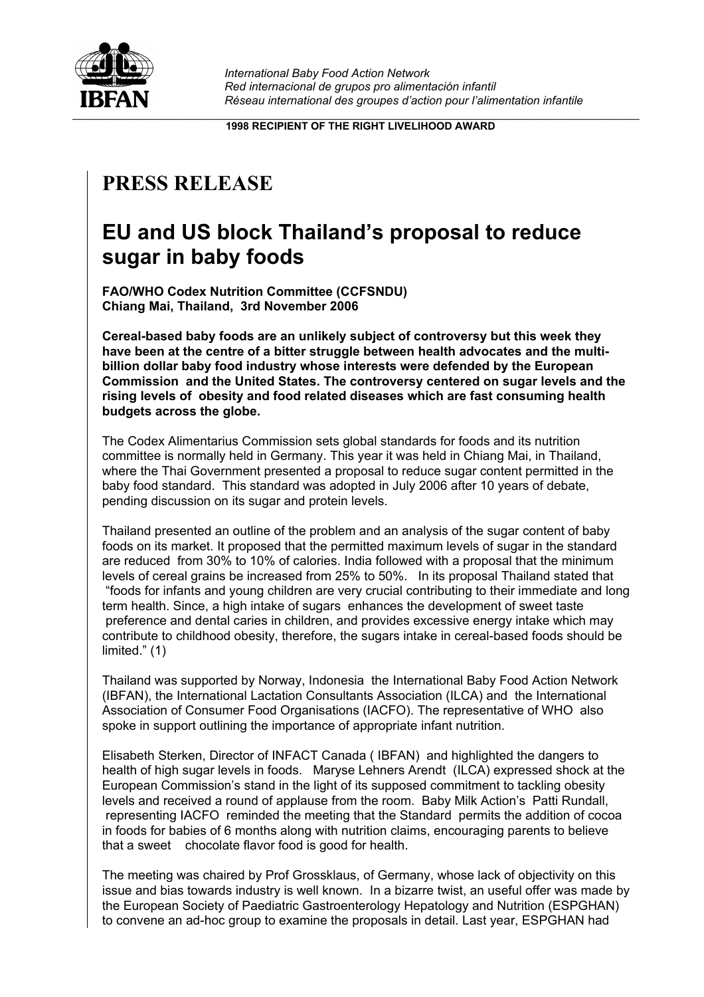

**1998 RECIPIENT OF THE RIGHT LIVELIHOOD AWARD**

## **PRESS RELEASE**

## **EU and US block Thailand's proposal to reduce sugar in baby foods**

**FAO/WHO Codex Nutrition Committee (CCFSNDU) Chiang Mai, Thailand, 3rd November 2006**

**Cereal-based baby foods are an unlikely subject of controversy but this week they have been at the centre of a bitter struggle between health advocates and the multibillion dollar baby food industry whose interests were defended by the European Commission and the United States. The controversy centered on sugar levels and the rising levels of obesity and food related diseases which are fast consuming health budgets across the globe.**

The Codex Alimentarius Commission sets global standards for foods and its nutrition committee is normally held in Germany. This year it was held in Chiang Mai, in Thailand, where the Thai Government presented a proposal to reduce sugar content permitted in the baby food standard. This standard was adopted in July 2006 after 10 years of debate, pending discussion on its sugar and protein levels.

Thailand presented an outline of the problem and an analysis of the sugar content of baby foods on its market. It proposed that the permitted maximum levels of sugar in the standard are reduced from 30% to 10% of calories. India followed with a proposal that the minimum levels of cereal grains be increased from 25% to 50%. In its proposal Thailand stated that "foods for infants and young children are very crucial contributing to their immediate and long term health. Since, a high intake of sugars enhances the development of sweet taste preference and dental caries in children, and provides excessive energy intake which may contribute to childhood obesity, therefore, the sugars intake in cereal-based foods should be limited." (1)

Thailand was supported by Norway, Indonesia the International Baby Food Action Network (IBFAN), the International Lactation Consultants Association (ILCA) and the International Association of Consumer Food Organisations (IACFO). The representative of WHO also spoke in support outlining the importance of appropriate infant nutrition.

Elisabeth Sterken, Director of INFACT Canada ( IBFAN) and highlighted the dangers to health of high sugar levels in foods. Maryse Lehners Arendt (ILCA) expressed shock at the European Commission's stand in the light of its supposed commitment to tackling obesity levels and received a round of applause from the room. Baby Milk Action's Patti Rundall, representing IACFO reminded the meeting that the Standard permits the addition of cocoa in foods for babies of 6 months along with nutrition claims, encouraging parents to believe that a sweet chocolate flavor food is good for health.

The meeting was chaired by Prof Grossklaus, of Germany, whose lack of objectivity on this issue and bias towards industry is well known. In a bizarre twist, an useful offer was made by the European Society of Paediatric Gastroenterology Hepatology and Nutrition (ESPGHAN) to convene an ad-hoc group to examine the proposals in detail. Last year, ESPGHAN had